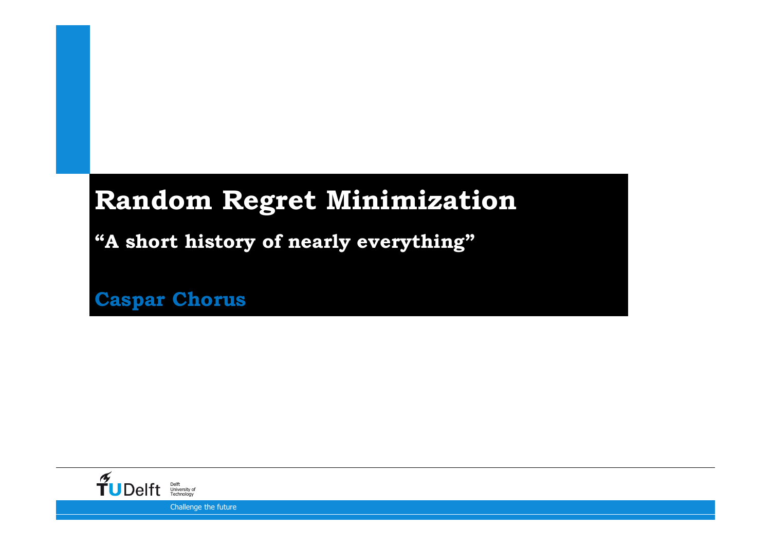### **Random Regret Minimization**

**"A short history of nearly everything"**

12-9-2016**Caspar Chorus**

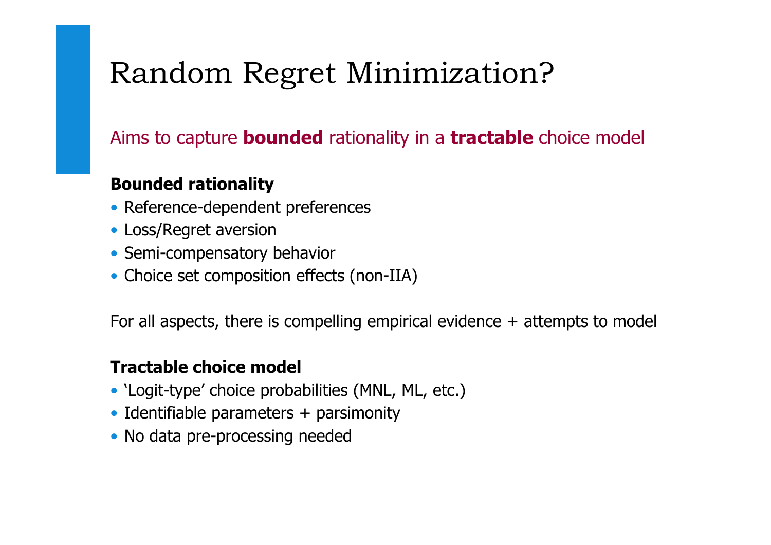## Random Regret Minimization?

### Aims to capture **bounded** rationality in a **tractable** choice model

#### **Bounded rationality**

- Reference-dependent preferences
- Loss/Regret aversion
- Semi-compensatory behavior
- Choice set composition effects (non-IIA)

For all aspects, there is compelling empirical evidence  $+$  attempts to model

#### **Tractable choice model**

- 'Logit-type' choice probabilities (MNL, ML, etc.)
- Identifiable parameters + parsimonity
- No data pre-processing needed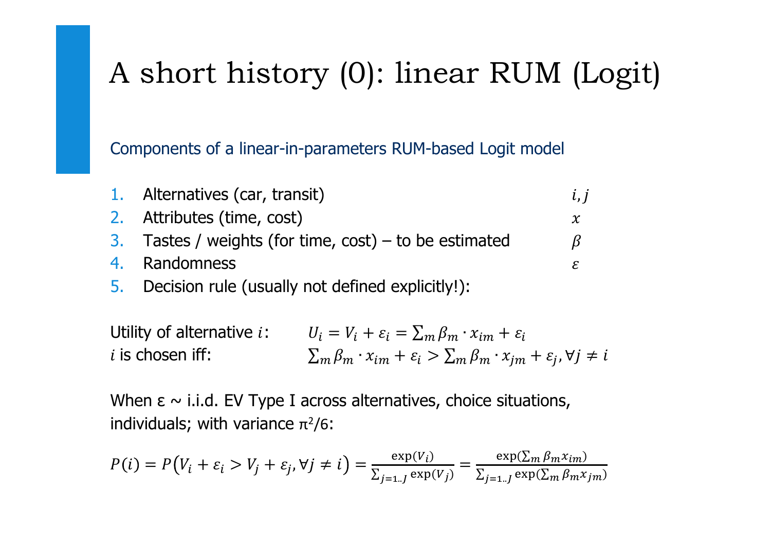# A short history (0): linear RUM (Logit)

Components of a linear-in-parameters RUM-based Logit model

| 1. Alternatives (car, transit)                         | l, l         |
|--------------------------------------------------------|--------------|
| 2. Attributes (time, cost)                             | $\chi$       |
| 3. Tastes / weights (for time, cost) – to be estimated | <sub>B</sub> |
| 4. Randomness                                          | £.           |
| 5. Decision rule (usually not defined explicitly!):    |              |

Utility of alternative  $i$ :  $U_i = V_i$ <br>is chosen iff:  $\Sigma$  $\kappa_i + \varepsilon_i = \sum_m \beta_m \cdot x_{im} + \varepsilon_i$ *i* is chosen iff:  $\sum_{m} \beta_m \cdot x_{im} + \varepsilon_i > \sum_m \beta_m \cdot x_{im} + \varepsilon_i, \forall j \neq i$ 

When  $\epsilon \sim$  i.i.d. EV Type I across alternatives, choice situations, individuals; with variance  $\pi^2/6$ :

$$
P(i) = P(V_i + \varepsilon_i > V_j + \varepsilon_j, \forall j \neq i) = \frac{\exp(V_i)}{\sum_{j=1..J} \exp(V_j)} = \frac{\exp(\sum_m \beta_m x_{im})}{\sum_{j=1..J} \exp(\sum_m \beta_m x_{jm})}
$$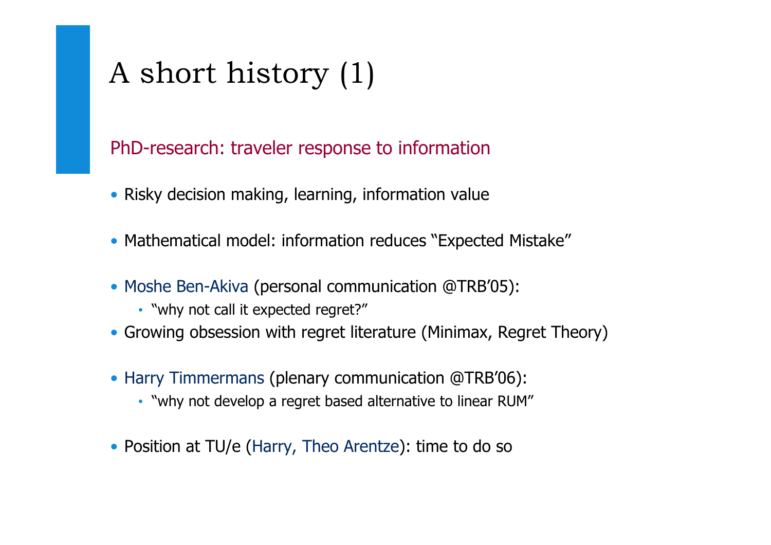# A short history (1)

#### PhD-research: traveler response to information

- Risky decision making, learning, information value
- Mathematical model: information reduces "Expected Mistake"
- Moshe Ben-Akiva (personal communication @TRB'05):
	- "why not call it expected regret?"
- Growing obsession with regret literature (Minimax, Regret Theory)
- Harry Timmermans (plenary communication @TRB'06):
	- "why not develop a regret based alternative to linear RUM"
- Position at TU/e (Harry, Theo Arentze): time to do so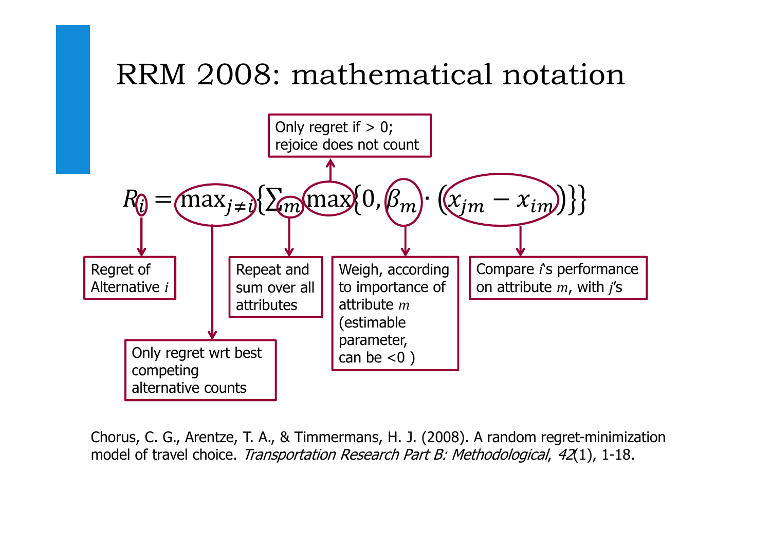# RRM 2008: mathematical notation



Chorus, C. G., Arentze, T. A., & Timmermans, H. J. (2008). A random regret-minimization model of travel choice. Transportation Research Part B: Methodological, 42(1), 1-18.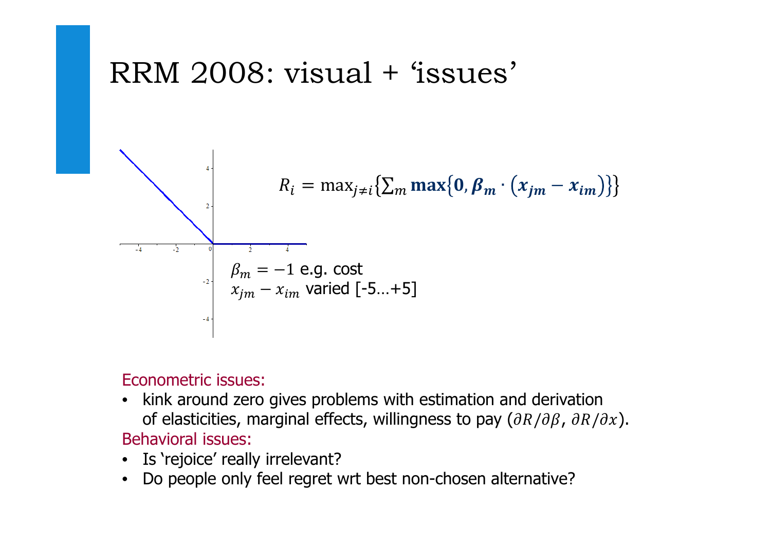## RRM 2008: visual + 'issues'



Econometric issues:

- kink around zero gives problems with estimation and derivationof elasticities, marginal effects, willingness to pay  $(\partial R/\partial \beta$ ,  $\partial R/\partial x).$ Behavioral issues:
- Is 'rejoice' really irrelevant?
- Do people only feel regret wrt best non-chosen alternative?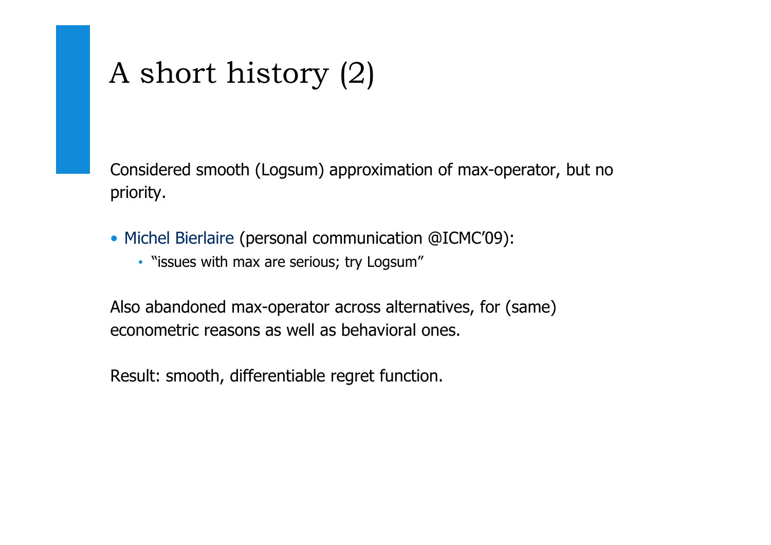# A short history (2)

Considered smooth (Logsum) approximation of max-operator, but no priority.

- Michel Bierlaire (personal communication @ICMC'09):
	- "issues with max are serious; try Logsum"

Also abandoned max-operator across alternatives, for (same) econometric reasons as well as behavioral ones.

Result: smooth, differentiable regret function.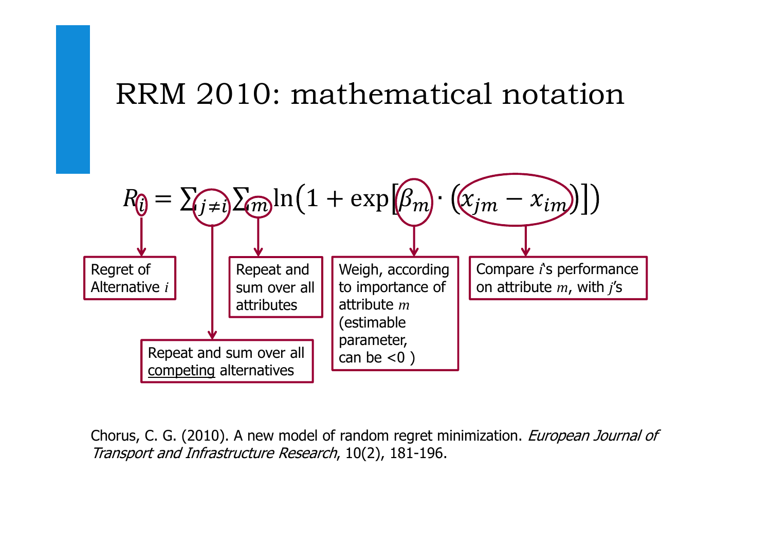## RRM 2010: mathematical notation



Chorus, C. G. (2010). A new model of random regret minimization. *European Journal of* Transport and Infrastructure Research, 10(2), 181-196.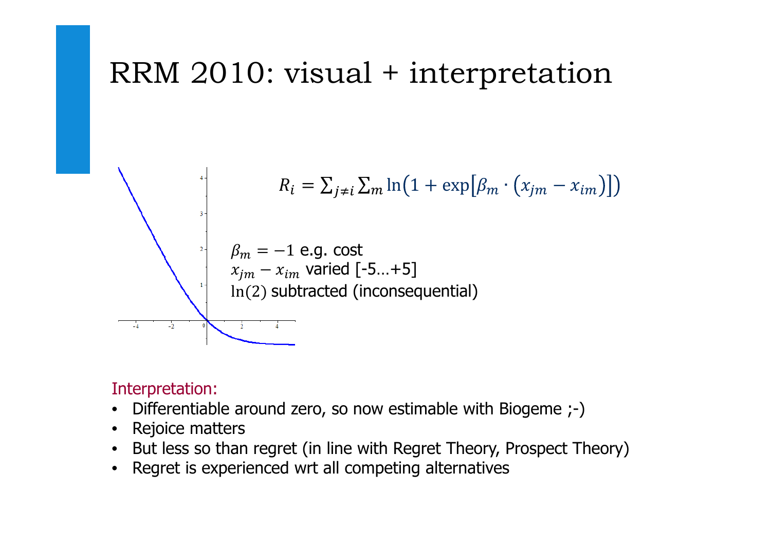## RRM 2010: visual + interpretation



#### Interpretation:

- Differentiable around zero, so now estimable with Biogeme ;-)
- Rejoice matters
- But less so than regret (in line with Regret Theory, Prospect Theory)
- Regret is experienced wrt all competing alternatives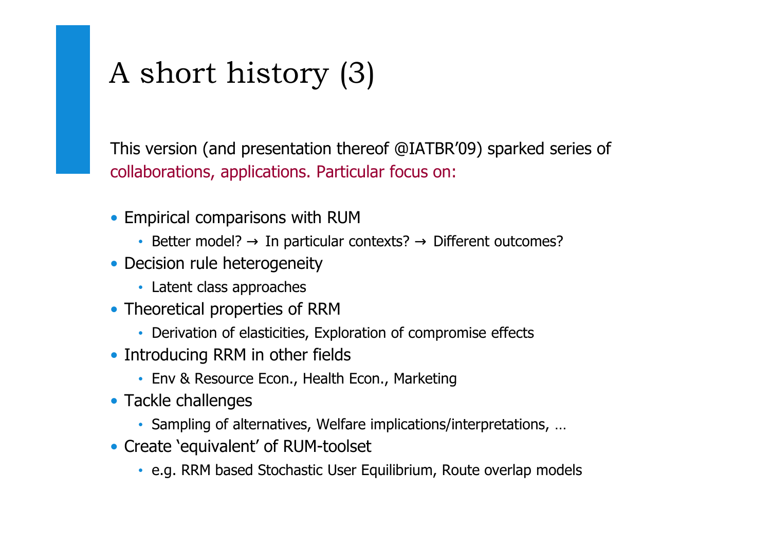# A short history (3)

This version (and presentation thereof @IATBR'09) sparked series of collaborations, applications. Particular focus on:

- Empirical comparisons with RUM
	- Better model? → In particular contexts? → Different outcomes?<br>esisien web hatereares it:
- Decision rule heterogeneity
	- Latent class approaches
- Theoretical properties of RRM
	- Derivation of elasticities, Exploration of compromise effects
- Introducing RRM in other fields
	- Env & Resource Econ., Health Econ., Marketing
- Tackle challenges
	- Sampling of alternatives, Welfare implications/interpretations, …
- Create 'equivalent' of RUM-toolset
	- e.g. RRM based Stochastic User Equilibrium, Route overlap models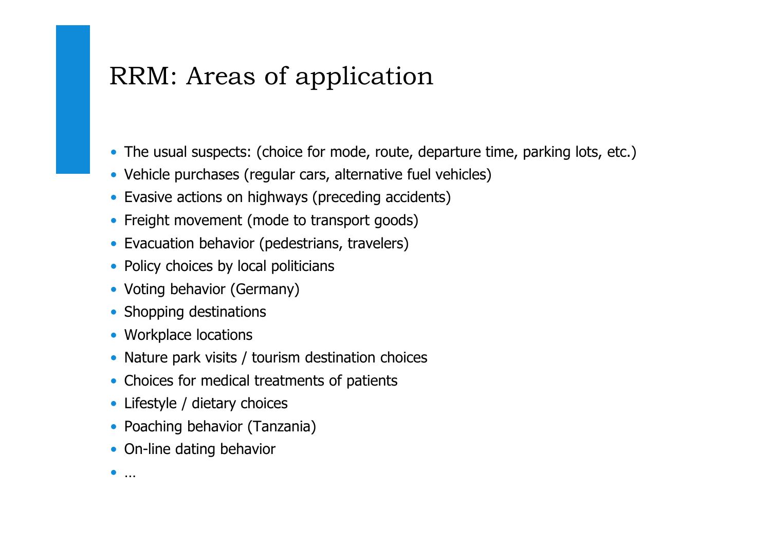### RRM: Areas of application

- The usual suspects: (choice for mode, route, departure time, parking lots, etc.)
- Vehicle purchases (regular cars, alternative fuel vehicles)
- Evasive actions on highways (preceding accidents)
- Freight movement (mode to transport goods)
- Evacuation behavior (pedestrians, travelers)
- Policy choices by local politicians
- Voting behavior (Germany)
- Shopping destinations
- Workplace locations
- Nature park visits / tourism destination choices
- Choices for medical treatments of patients
- Lifestyle / dietary choices
- Poaching behavior (Tanzania)
- On-line dating behavior
- •…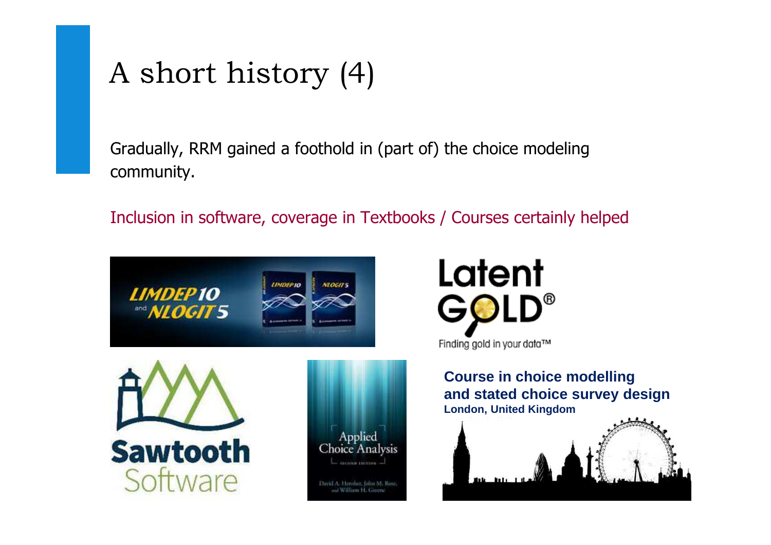# A short history (4)

Gradually, RRM gained a foothold in (part of) the choice modeling community.

Inclusion in software, coverage in Textbooks / Courses certainly helped





**Course in choice modelling and stated choice survey designLondon, United Kingdom**

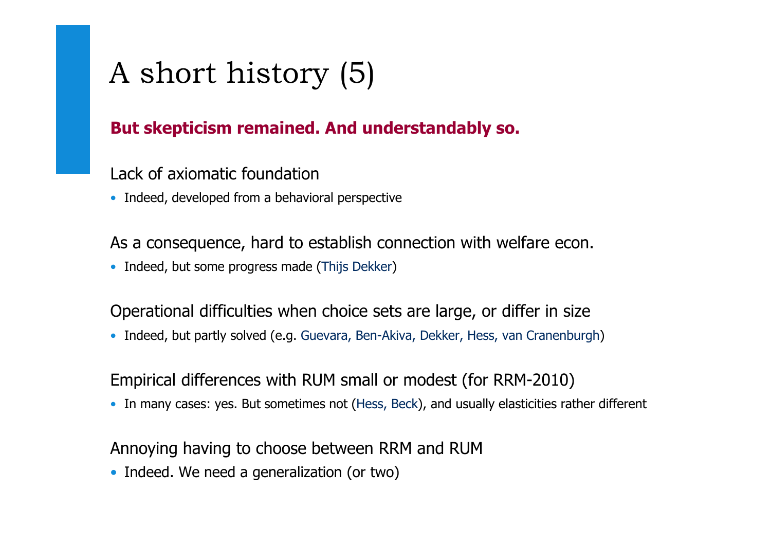# A short history (5)

#### **But skepticism remained. And understandably so.**

Lack of axiomatic foundation

• Indeed, developed from a behavioral perspective

As a consequence, hard to establish connection with welfare econ.

• Indeed, but some progress made (Thijs Dekker)

Operational difficulties when choice sets are large, or differ in size

• Indeed, but partly solved (e.g. Guevara, Ben-Akiva, Dekker, Hess, van Cranenburgh)

Empirical differences with RUM small or modest (for RRM-2010)

• In many cases: yes. But sometimes not (Hess, Beck), and usually elasticities rather different

Annoying having to choose between RRM and RUM

• Indeed. We need a generalization (or two)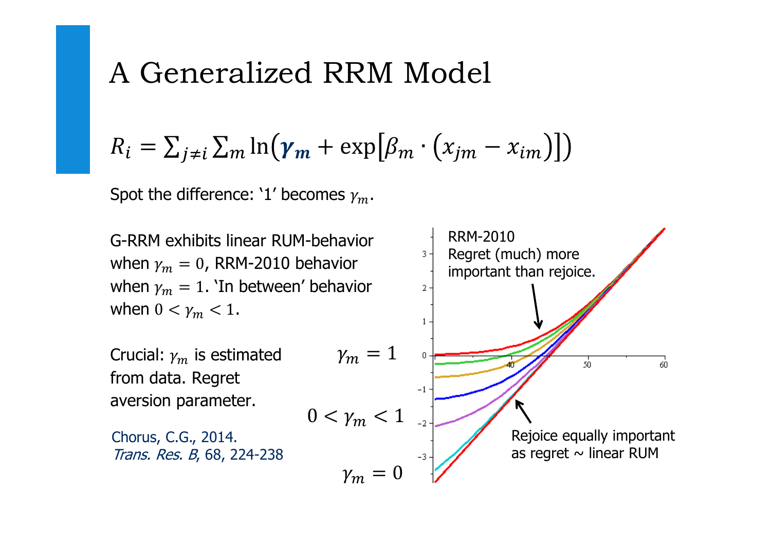## A Generalized RRM Model

$$
R_i = \sum_{j \neq i} \sum_m \ln(\gamma_m + \exp[\beta_m \cdot (x_{jm} - x_{im})])
$$

Spot the difference: '1' becomes  $\gamma_m$ .

RRM-2010G-RRM exhibits linear RUM-behavior Regret (much) more when  $\gamma_m = 0$ , RRM-2010 behavior important than rejoice.when  $\gamma_m = 1$ . 'In between' behavior  $2 \cdot$ when  $0 < \gamma_m < 1$ .  $\overline{1}$  $\gamma_m=1$ Crucial:  $\gamma_m$  is estimated<br>fram data. Becret -50 60 from data. Regret $-1$ aversion parameter. $0 < \gamma_m < 1$ Rejoice equally importantChorus, C.G., 2014. as regret  $\sim$  linear RUM Trans. Res. B, 68, 224-238 $\gamma_m=0$ Regret in Traveler Decision Making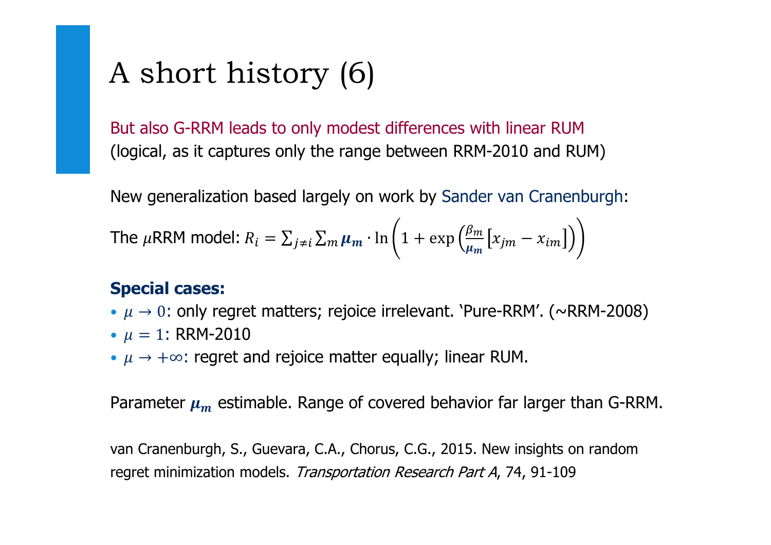# A short history (6)

But also G-RRM leads to only modest differences with linear RUM(logical, as it captures only the range between RRM-2010 and RUM)

New generalization based largely on work by Sander van Cranenburgh:

The 
$$
\mu
$$
RRM model:  $R_i = \sum_{j \neq i} \sum_m \mu_m \cdot \ln \left( 1 + \exp \left( \frac{\beta_m}{\mu_m} \left[ x_{jm} - x_{im} \right] \right) \right)$ 

#### **Special cases:**

- $\mu \rightarrow 0$ : only regret matters; rejoice irrelevant. 'Pure-RRM'. (~RRM-2008)
- $\mu = 1$ : RRM-2010
- $\mu \rightarrow +\infty$ : regret and rejoice matter equally; linear RUM.

Parameter  $\mu_m$  estimable. Range of covered behavior far larger than G-RRM.

van Cranenburgh, S., Guevara, C.A., Chorus, C.G., 2015. New insights on random regret minimization models. Transportation Research Part A, 74, 91-109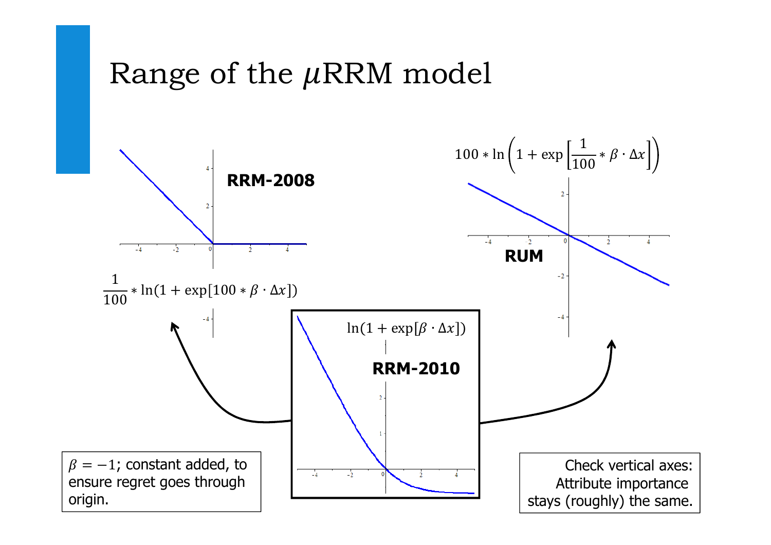## Range of the  $\mu$ RRM model

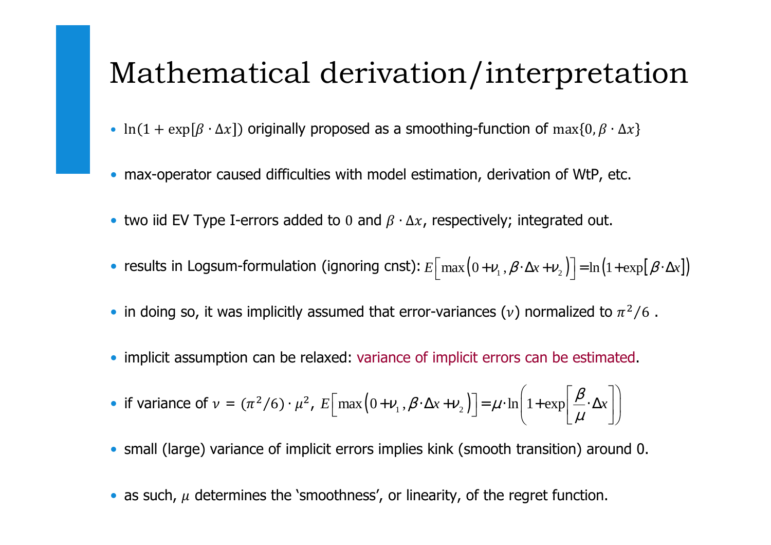## Mathematical derivation/interpretation

- $ln(1 + exp[\beta \cdot \Delta x])$  originally proposed as a smoothing-function of  $max\{0, \beta \cdot \Delta x\}$
- max-operator caused difficulties with model estimation, derivation of WtP, etc.
- two iid EV Type I-errors added to 0 and  $\beta \cdot \Delta x$ , respectively; integrated out.
- results in Logsum-formulation (ignoring cnst):  $E\left[\max(0+\nu_1,\beta\cdot\Delta x+\nu_2)\right] = \ln(1+\exp[\beta\cdot\Delta x])$
- in doing so, it was implicitly assumed that error-variances  $(\nu)$  normalized to  $\pi^2/6$  .
- implicit assumption can be relaxed: variance of implicit errors can be estimated.

• if variance of 
$$
v = (\pi^2/6) \cdot \mu^2
$$
,  $E\left[\max(0 + v_1, \beta \cdot \Delta x + v_2)\right] = \mu \cdot \ln\left(1 + \exp\left[\frac{\beta}{\mu} \cdot \Delta x\right]\right)$ 

- small (large) variance of implicit errors implies kink (smooth transition) around 0.
- as such,  $\mu$  determines the 'smoothness', or linearity, of the regret function.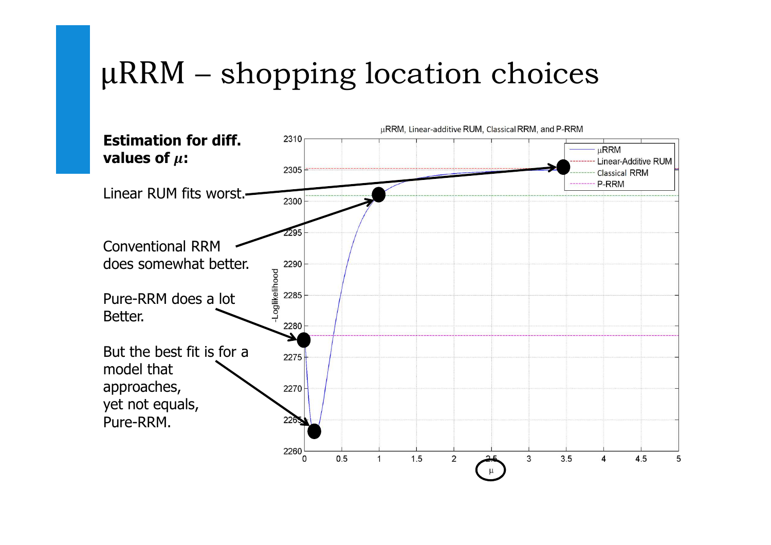# μRRM – shopping location choices

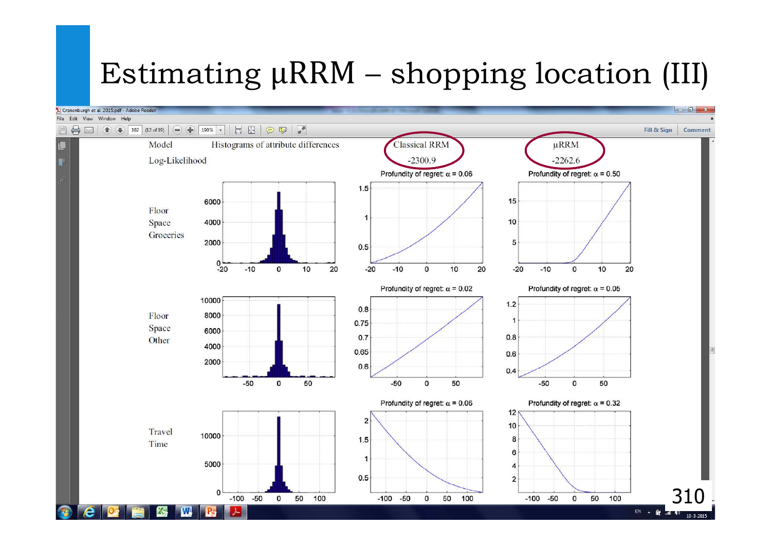# Estimating μRRM – shopping location (III)

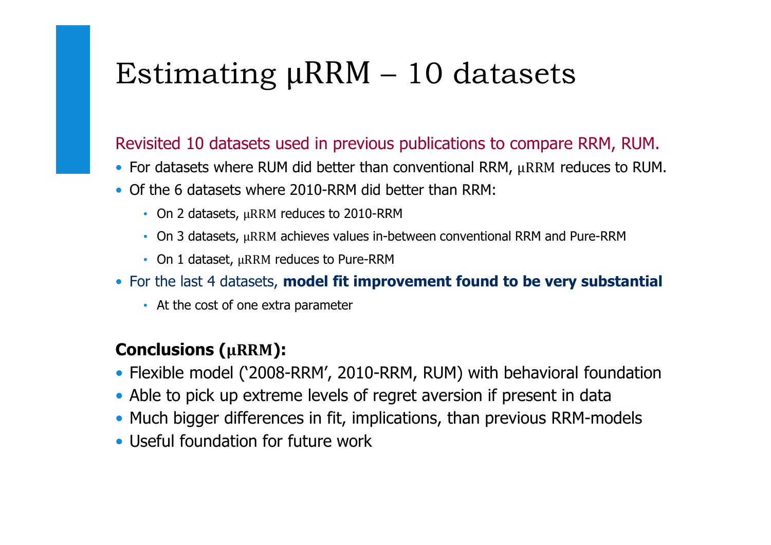# Estimating μRRM – 10 datasets

#### Revisited 10 datasets used in previous publications to compare RRM, RUM.

- For datasets where RUM did better than conventional RRM,  $\mu$ RRM reduces to RUM.
- Of the 6 datasets where 2010-RRM did better than RRM:
	- On 2 datasets, μRRM reduces to 2010-RRM
	- On 3 datasets, μRRM achieves values in-between conventional RRM and Pure-RRM
	- On 1 dataset, μRRM reduces to Pure-RRM
- For the last 4 datasets, **model fit improvement found to be very substantial**
	- At the cost of one extra parameter

#### **Conclusions (µRRM):**

- Flexible model ('2008-RRM', 2010-RRM, RUM) with behavioral foundation
- Able to pick up extreme levels of regret aversion if present in data
- Much bigger differences in fit, implications, than previous RRM-models
- Useful foundation for future work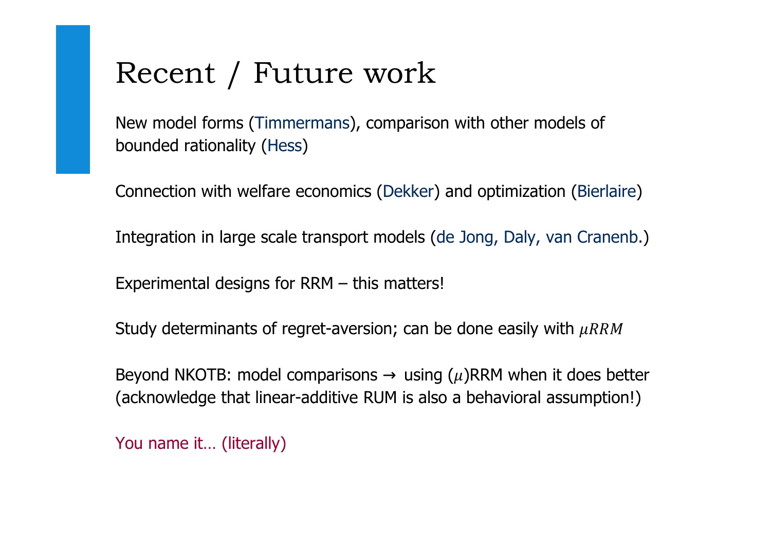## Recent / Future work

New model forms (Timmermans), comparison with other models of bounded rationality (Hess)

Connection with welfare economics (Dekker) and optimization (Bierlaire)

Integration in large scale transport models (de Jong, Daly, van Cranenb.)

Experimental designs for RRM – this matters!

Study determinants of regret-aversion; can be done easily with  $\mu RRM$ 

Beyond NKOTB: model comparisons  $\rightarrow$  using ( $\mu$ )RRM when it does better<br>Cosknowledge that linear additive BUM is also a behavioral assumption!) (acknowledge that linear-additive RUM is also a behavioral assumption!)

You name it... (literally)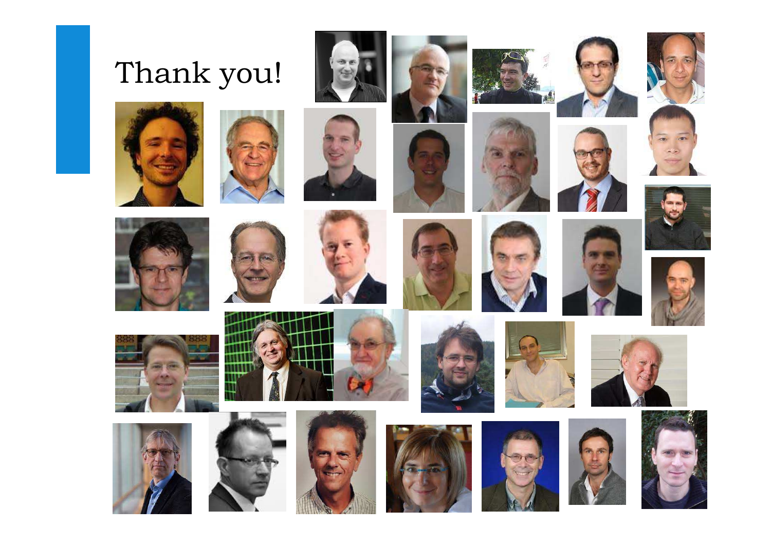# Thank you!





































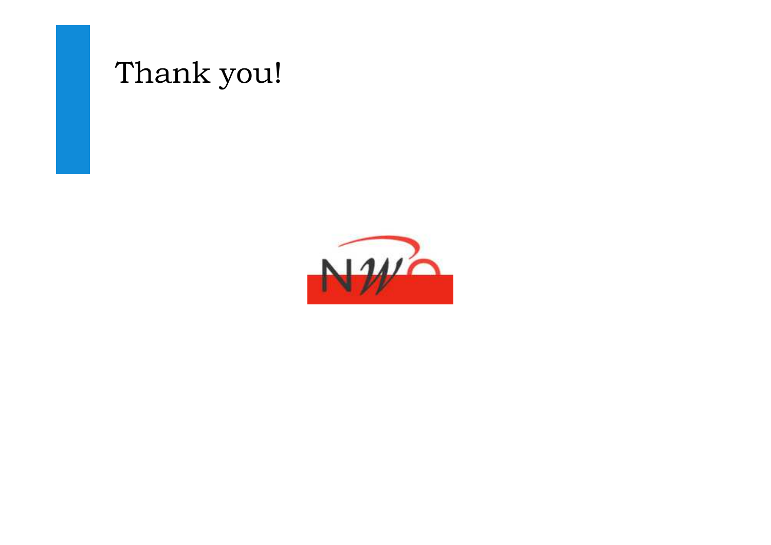

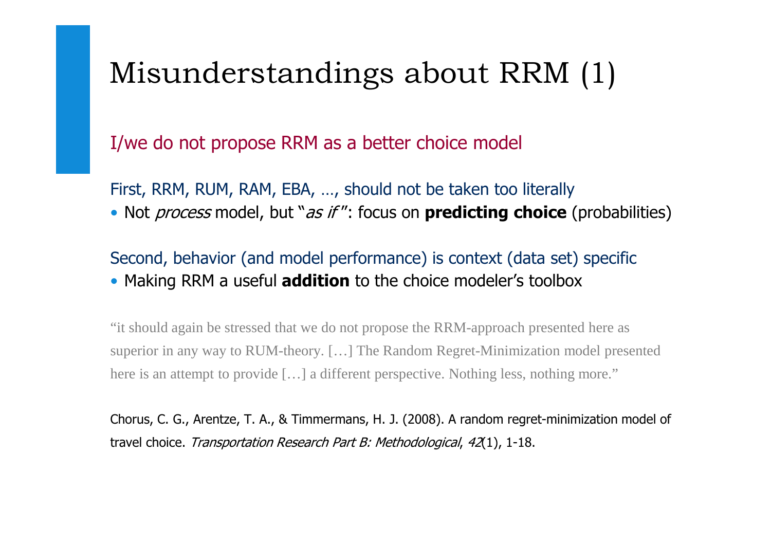# Misunderstandings about RRM (1)

I/we do not propose RRM as a better choice model

First, RRM, RUM, RAM, EBA, …, should not be taken too literally• Not process model, but "as if ": focus on **predicting choice** (probabilities)

Second, behavior (and model performance) is context (data set) specific• Making RRM a useful **addition** to the choice modeler's toolbox

"it should again be stressed that we do not propose the RRM-approach presented here as superior in any way to RUM-theory. […] The Random Regret-Minimization model presented here is an attempt to provide [...] a different perspective. Nothing less, nothing more."

Chorus, C. G., Arentze, T. A., & Timmermans, H. J. (2008). A random regret-minimization model of travel choice. Transportation Research Part B: Methodological, 42(1), 1-18.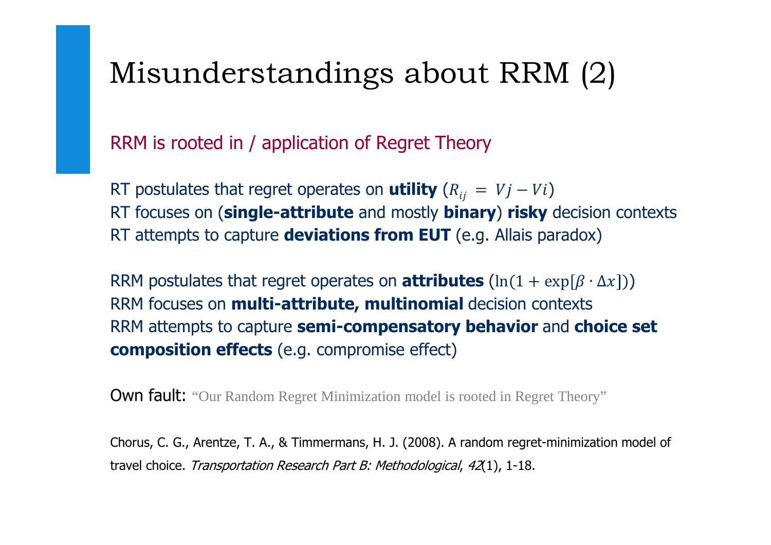## Misunderstandings about RRM (2)

RRM is rooted in / application of Regret Theory

RT postulates that regret operates on **utility**  $(R_{ij} = Vj - Vi)$ RT focuses on (**single-attribute** and mostly **binary**) **risky** decision contexts RT attempts to capture **deviations from EUT** (e.g. Allais paradox)

RRM postulates that regret operates on **attributes**  $(\ln(1 + \exp[\beta \cdot \Delta x]))$ RRM focuses on **multi-attribute, multinomial** decision contextsRRM attempts to capture **semi-compensatory behavior** and **choice set composition effects** (e.g. compromise effect)

**Own fault:** "Our Random Regret Minimization model is rooted in Regret Theory"

Chorus, C. G., Arentze, T. A., & Timmermans, H. J. (2008). A random regret-minimization model of travel choice. Transportation Research Part B: Methodological, 42(1), 1-18.